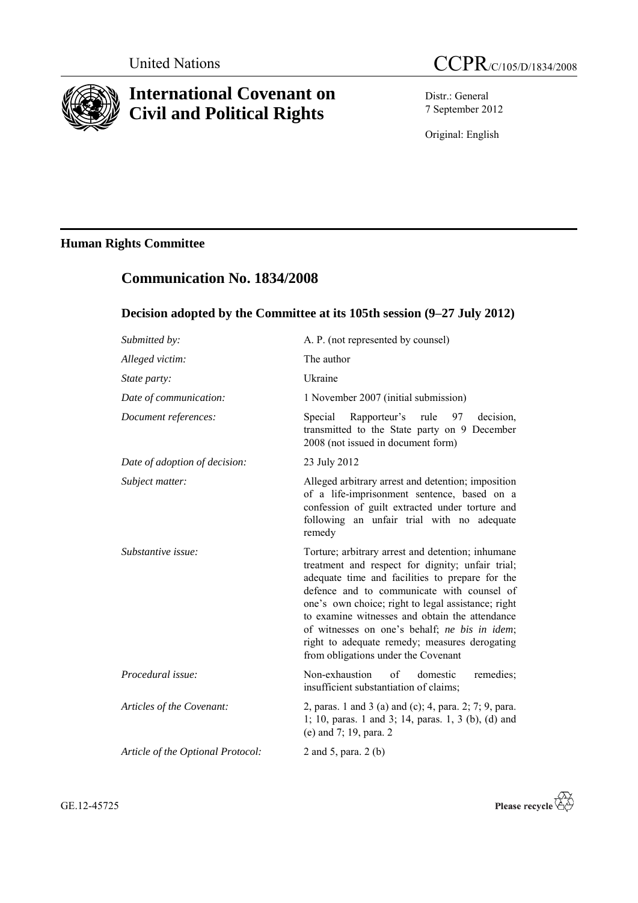

# **International Covenant on Civil and Political Rights**

Distr.: General 7 September 2012

Original: English

# **Human Rights Committee**

# **Communication No. 1834/2008**

# **Decision adopted by the Committee at its 105th session (9–27 July 2012)**

| Submitted by:                     | A. P. (not represented by counsel)                                                                                                                                                                                                                                                                                                                                                                                                                      |
|-----------------------------------|---------------------------------------------------------------------------------------------------------------------------------------------------------------------------------------------------------------------------------------------------------------------------------------------------------------------------------------------------------------------------------------------------------------------------------------------------------|
| Alleged victim:                   | The author                                                                                                                                                                                                                                                                                                                                                                                                                                              |
| State party:                      | Ukraine                                                                                                                                                                                                                                                                                                                                                                                                                                                 |
| Date of communication:            | 1 November 2007 (initial submission)                                                                                                                                                                                                                                                                                                                                                                                                                    |
| Document references:              | Rapporteur's rule<br>decision,<br>Special<br>97<br>transmitted to the State party on 9 December<br>2008 (not issued in document form)                                                                                                                                                                                                                                                                                                                   |
| Date of adoption of decision:     | 23 July 2012                                                                                                                                                                                                                                                                                                                                                                                                                                            |
| Subject matter:                   | Alleged arbitrary arrest and detention; imposition<br>of a life-imprisonment sentence, based on a<br>confession of guilt extracted under torture and<br>following an unfair trial with no adequate<br>remedy                                                                                                                                                                                                                                            |
| Substantive issue:                | Torture; arbitrary arrest and detention; inhumane<br>treatment and respect for dignity; unfair trial;<br>adequate time and facilities to prepare for the<br>defence and to communicate with counsel of<br>one's own choice; right to legal assistance; right<br>to examine witnesses and obtain the attendance<br>of witnesses on one's behalf; ne bis in idem;<br>right to adequate remedy; measures derogating<br>from obligations under the Covenant |
| Procedural issue:                 | Non-exhaustion<br>of<br>domestic<br>remedies;<br>insufficient substantiation of claims;                                                                                                                                                                                                                                                                                                                                                                 |
| Articles of the Covenant:         | 2, paras. 1 and 3 (a) and (c); 4, para. 2; 7; 9, para.<br>1; 10, paras. 1 and 3; 14, paras. 1, 3 (b), (d) and<br>(e) and 7; 19, para. 2                                                                                                                                                                                                                                                                                                                 |
| Article of the Optional Protocol: | 2 and 5, para. 2 (b)                                                                                                                                                                                                                                                                                                                                                                                                                                    |
|                                   |                                                                                                                                                                                                                                                                                                                                                                                                                                                         |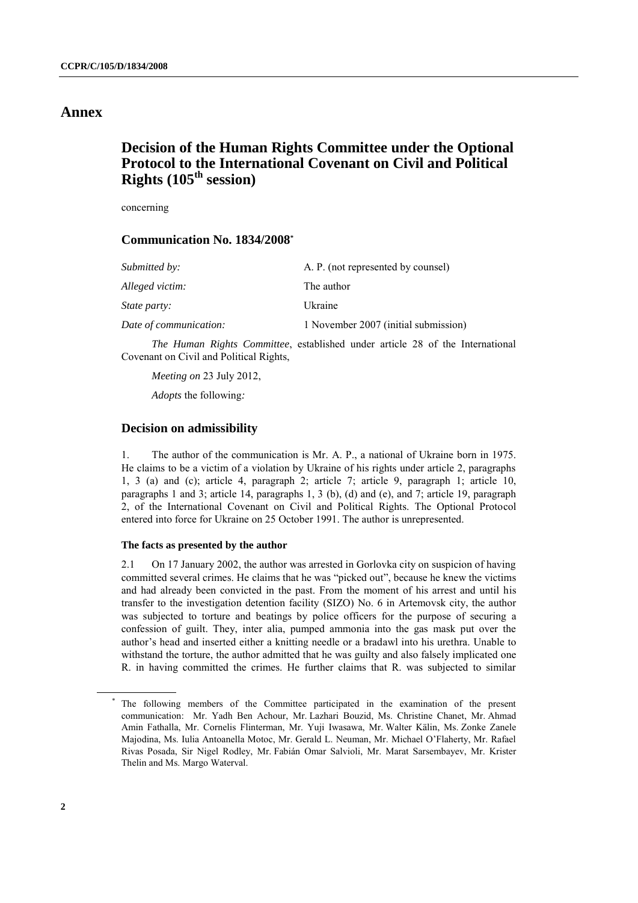# **Annex**

# **Decision of the Human Rights Committee under the Optional Protocol to the International Covenant on Civil and Political Rights (105th session)**

concerning

## **Communication No. 1834/2008\***

| Submitted by:          | A. P. (not represented by counsel)   |
|------------------------|--------------------------------------|
| Alleged victim:        | The author                           |
| <i>State party:</i>    | Ukraine                              |
| Date of communication: | 1 November 2007 (initial submission) |

*The Human Rights Committee*, established under article 28 of the International Covenant on Civil and Political Rights,

*Meeting on* 23 July 2012,

*Adopts* the following*:*

## **Decision on admissibility**

1. The author of the communication is Mr. A. P., a national of Ukraine born in 1975. He claims to be a victim of a violation by Ukraine of his rights under article 2, paragraphs 1, 3 (a) and (c); article 4, paragraph 2; article 7; article 9, paragraph 1; article 10, paragraphs 1 and 3; article 14, paragraphs 1, 3 (b), (d) and (e), and 7; article 19, paragraph 2, of the International Covenant on Civil and Political Rights. The Optional Protocol entered into force for Ukraine on 25 October 1991. The author is unrepresented.

## **The facts as presented by the author**

2.1 On 17 January 2002, the author was arrested in Gorlovka city on suspicion of having committed several crimes. He claims that he was "picked out", because he knew the victims and had already been convicted in the past. From the moment of his arrest and until his transfer to the investigation detention facility (SIZO) No. 6 in Artemovsk city, the author was subjected to torture and beatings by police officers for the purpose of securing a confession of guilt. They, inter alia, pumped ammonia into the gas mask put over the author's head and inserted either a knitting needle or a bradawl into his urethra. Unable to withstand the torture, the author admitted that he was guilty and also falsely implicated one R. in having committed the crimes. He further claims that R. was subjected to similar

The following members of the Committee participated in the examination of the present communication: Mr. Yadh Ben Achour, Mr. Lazhari Bouzid, Ms. Christine Chanet, Mr. Ahmad Amin Fathalla, Mr. Cornelis Flinterman, Mr. Yuji Iwasawa, Mr. Walter Kälin, Ms. Zonke Zanele Majodina, Ms. Iulia Antoanella Motoc, Mr. Gerald L. Neuman, Mr. Michael O'Flaherty, Mr. Rafael Rivas Posada, Sir Nigel Rodley, Mr. Fabián Omar Salvioli, Mr. Marat Sarsembayev, Mr. Krister Thelin and Ms. Margo Waterval.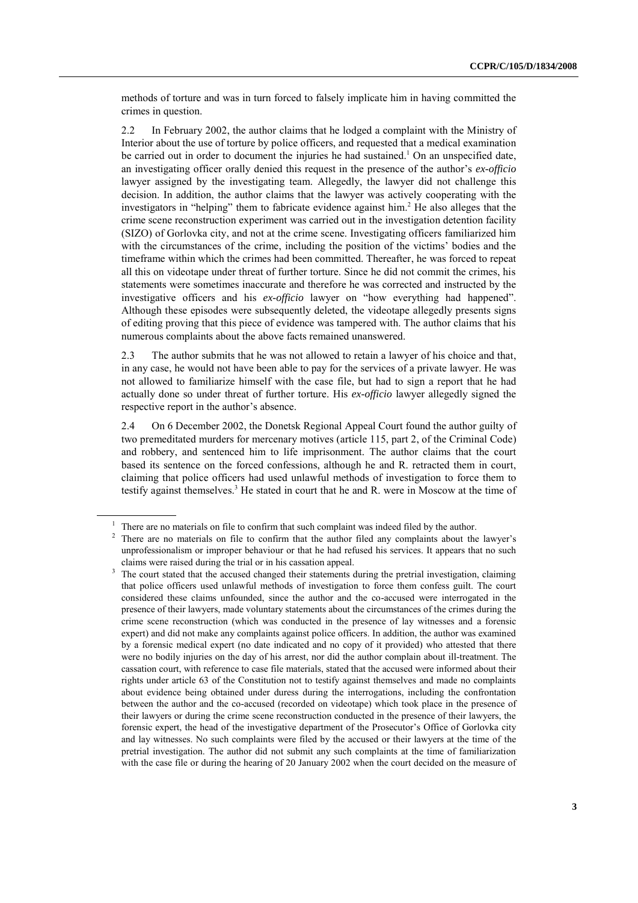methods of torture and was in turn forced to falsely implicate him in having committed the crimes in question.

2.2 In February 2002, the author claims that he lodged a complaint with the Ministry of Interior about the use of torture by police officers, and requested that a medical examination be carried out in order to document the injuries he had sustained.<sup>1</sup> On an unspecified date, an investigating officer orally denied this request in the presence of the author's *ex-officio* lawyer assigned by the investigating team. Allegedly, the lawyer did not challenge this decision. In addition, the author claims that the lawyer was actively cooperating with the investigators in "helping" them to fabricate evidence against him. <sup>2</sup> He also alleges that the crime scene reconstruction experiment was carried out in the investigation detention facility (SIZO) of Gorlovka city, and not at the crime scene. Investigating officers familiarized him with the circumstances of the crime, including the position of the victims' bodies and the timeframe within which the crimes had been committed. Thereafter, he was forced to repeat all this on videotape under threat of further torture. Since he did not commit the crimes, his statements were sometimes inaccurate and therefore he was corrected and instructed by the investigative officers and his *ex-officio* lawyer on "how everything had happened". Although these episodes were subsequently deleted, the videotape allegedly presents signs of editing proving that this piece of evidence was tampered with. The author claims that his numerous complaints about the above facts remained unanswered.

2.3 The author submits that he was not allowed to retain a lawyer of his choice and that, in any case, he would not have been able to pay for the services of a private lawyer. He was not allowed to familiarize himself with the case file, but had to sign a report that he had actually done so under threat of further torture. His *ex-officio* lawyer allegedly signed the respective report in the author's absence.

2.4 On 6 December 2002, the Donetsk Regional Appeal Court found the author guilty of two premeditated murders for mercenary motives (article 115, part 2, of the Criminal Code) and robbery, and sentenced him to life imprisonment. The author claims that the court based its sentence on the forced confessions, although he and R. retracted them in court, claiming that police officers had used unlawful methods of investigation to force them to testify against themselves. <sup>3</sup> He stated in court that he and R. were in Moscow at the time of

 $1$  There are no materials on file to confirm that such complaint was indeed filed by the author.

<sup>&</sup>lt;sup>2</sup> There are no materials on file to confirm that the author filed any complaints about the lawyer's unprofessionalism or improper behaviour or that he had refused his services. It appears that no such claims were raised during the trial or in his cassation appeal.

<sup>&</sup>lt;sup>3</sup> The court stated that the accused changed their statements during the pretrial investigation, claiming that police officers used unlawful methods of investigation to force them confess guilt. The court considered these claims unfounded, since the author and the co-accused were interrogated in the presence of their lawyers, made voluntary statements about the circumstances of the crimes during the crime scene reconstruction (which was conducted in the presence of lay witnesses and a forensic expert) and did not make any complaints against police officers. In addition, the author was examined by a forensic medical expert (no date indicated and no copy of it provided) who attested that there were no bodily injuries on the day of his arrest, nor did the author complain about ill-treatment. The cassation court, with reference to case file materials, stated that the accused were informed about their rights under article 63 of the Constitution not to testify against themselves and made no complaints about evidence being obtained under duress during the interrogations, including the confrontation between the author and the co-accused (recorded on videotape) which took place in the presence of their lawyers or during the crime scene reconstruction conducted in the presence of their lawyers, the forensic expert, the head of the investigative department of the Prosecutor's Office of Gorlovka city and lay witnesses. No such complaints were filed by the accused or their lawyers at the time of the pretrial investigation. The author did not submit any such complaints at the time of familiarization with the case file or during the hearing of 20 January 2002 when the court decided on the measure of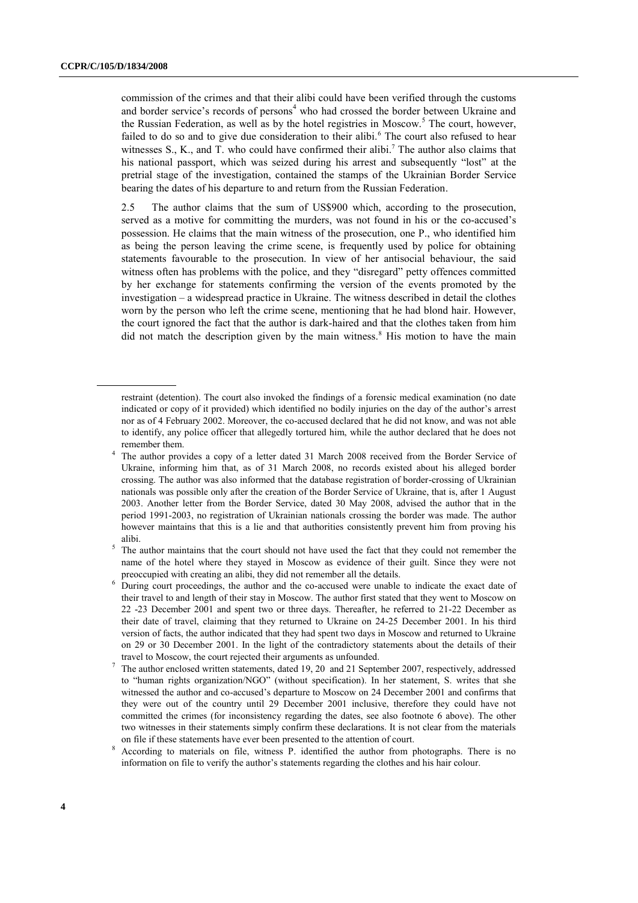commission of the crimes and that their alibi could have been verified through the customs and border service's records of persons<sup>4</sup> who had crossed the border between Ukraine and the Russian Federation, as well as by the hotel registries in Moscow.<sup>5</sup> The court, however, failed to do so and to give due consideration to their alibi.<sup>6</sup> The court also refused to hear witnesses  $S_1$ , K., and T. who could have confirmed their alibi.<sup>7</sup> The author also claims that his national passport, which was seized during his arrest and subsequently "lost" at the pretrial stage of the investigation, contained the stamps of the Ukrainian Border Service bearing the dates of his departure to and return from the Russian Federation.

2.5 The author claims that the sum of US\$900 which, according to the prosecution, served as a motive for committing the murders, was not found in his or the co-accused's possession. He claims that the main witness of the prosecution, one P., who identified him as being the person leaving the crime scene, is frequently used by police for obtaining statements favourable to the prosecution. In view of her antisocial behaviour, the said witness often has problems with the police, and they "disregard" petty offences committed by her exchange for statements confirming the version of the events promoted by the investigation – a widespread practice in Ukraine. The witness described in detail the clothes worn by the person who left the crime scene, mentioning that he had blond hair. However, the court ignored the fact that the author is dark-haired and that the clothes taken from him did not match the description given by the main witness.<sup>8</sup> His motion to have the main

restraint (detention). The court also invoked the findings of a forensic medical examination (no date indicated or copy of it provided) which identified no bodily injuries on the day of the author's arrest nor as of 4 February 2002. Moreover, the co-accused declared that he did not know, and was not able to identify, any police officer that allegedly tortured him, while the author declared that he does not remember them.

<sup>&</sup>lt;sup>4</sup> The author provides a copy of a letter dated 31 March 2008 received from the Border Service of Ukraine, informing him that, as of 31 March 2008, no records existed about his alleged border crossing. The author was also informed that the database registration of border-crossing of Ukrainian nationals was possible only after the creation of the Border Service of Ukraine, that is, after 1 August 2003. Another letter from the Border Service, dated 30 May 2008, advised the author that in the period 1991-2003, no registration of Ukrainian nationals crossing the border was made. The author however maintains that this is a lie and that authorities consistently prevent him from proving his alibi.

 $5$  The author maintains that the court should not have used the fact that they could not remember the name of the hotel where they stayed in Moscow as evidence of their guilt. Since they were not preoccupied with creating an alibi, they did not remember all the details.

<sup>&</sup>lt;sup>6</sup> During court proceedings, the author and the co-accused were unable to indicate the exact date of their travel to and length of their stay in Moscow. The author first stated that they went to Moscow on 22 -23 December 2001 and spent two or three days. Thereafter, he referred to 21-22 December as their date of travel, claiming that they returned to Ukraine on 24-25 December 2001. In his third version of facts, the author indicated that they had spent two days in Moscow and returned to Ukraine on 29 or 30 December 2001. In the light of the contradictory statements about the details of their travel to Moscow, the court rejected their arguments as unfounded.

<sup>7</sup> The author enclosed written statements, dated 19, 20 and 21 September 2007, respectively, addressed to "human rights organization/NGO" (without specification). In her statement, S. writes that she witnessed the author and co-accused's departure to Moscow on 24 December 2001 and confirms that they were out of the country until 29 December 2001 inclusive, therefore they could have not committed the crimes (for inconsistency regarding the dates, see also footnote 6 above). The other two witnesses in their statements simply confirm these declarations. It is not clear from the materials on file if these statements have ever been presented to the attention of court.

<sup>&</sup>lt;sup>8</sup> According to materials on file, witness P. identified the author from photographs. There is no information on file to verify the author's statements regarding the clothes and his hair colour.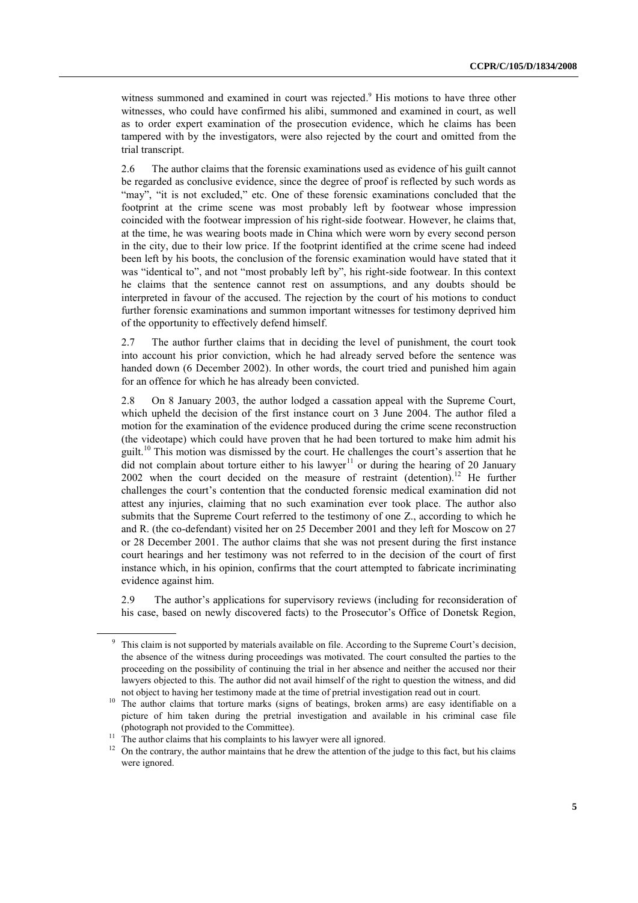witness summoned and examined in court was rejected.<sup>9</sup> His motions to have three other witnesses, who could have confirmed his alibi, summoned and examined in court, as well as to order expert examination of the prosecution evidence, which he claims has been tampered with by the investigators, were also rejected by the court and omitted from the trial transcript.

2.6 The author claims that the forensic examinations used as evidence of his guilt cannot be regarded as conclusive evidence, since the degree of proof is reflected by such words as "may", "it is not excluded," etc. One of these forensic examinations concluded that the footprint at the crime scene was most probably left by footwear whose impression coincided with the footwear impression of his right-side footwear. However, he claims that, at the time, he was wearing boots made in China which were worn by every second person in the city, due to their low price. If the footprint identified at the crime scene had indeed been left by his boots, the conclusion of the forensic examination would have stated that it was "identical to", and not "most probably left by", his right-side footwear. In this context he claims that the sentence cannot rest on assumptions, and any doubts should be interpreted in favour of the accused. The rejection by the court of his motions to conduct further forensic examinations and summon important witnesses for testimony deprived him of the opportunity to effectively defend himself.

2.7 The author further claims that in deciding the level of punishment, the court took into account his prior conviction, which he had already served before the sentence was handed down (6 December 2002). In other words, the court tried and punished him again for an offence for which he has already been convicted.

2.8 On 8 January 2003, the author lodged a cassation appeal with the Supreme Court, which upheld the decision of the first instance court on 3 June 2004. The author filed a motion for the examination of the evidence produced during the crime scene reconstruction (the videotape) which could have proven that he had been tortured to make him admit his guilt.<sup>10</sup> This motion was dismissed by the court. He challenges the court's assertion that he  $\overline{d}$  did not complain about torture either to his lawyer<sup>11</sup> or during the hearing of 20 January 2002 when the court decided on the measure of restraint (detention).<sup>12</sup> He further challenges the court's contention that the conducted forensic medical examination did not attest any injuries, claiming that no such examination ever took place. The author also submits that the Supreme Court referred to the testimony of one Z., according to which he and R. (the co-defendant) visited her on 25 December 2001 and they left for Moscow on 27 or 28 December 2001. The author claims that she was not present during the first instance court hearings and her testimony was not referred to in the decision of the court of first instance which, in his opinion, confirms that the court attempted to fabricate incriminating evidence against him.

2.9 The author's applications for supervisory reviews (including for reconsideration of his case, based on newly discovered facts) to the Prosecutor's Office of Donetsk Region,

<sup>&</sup>lt;sup>9</sup> This claim is not supported by materials available on file. According to the Supreme Court's decision, the absence of the witness during proceedings was motivated. The court consulted the parties to the proceeding on the possibility of continuing the trial in her absence and neither the accused nor their lawyers objected to this. The author did not avail himself of the right to question the witness, and did not object to having her testimony made at the time of pretrial investigation read out in court.

<sup>&</sup>lt;sup>10</sup> The author claims that torture marks (signs of beatings, broken arms) are easy identifiable on a picture of him taken during the pretrial investigation and available in his criminal case file (photograph not provided to the Committee).

<sup>11</sup> The author claims that his complaints to his lawyer were all ignored.<br><sup>12</sup> On the ortrary, the outhor maintains that he drew the attention of the

<sup>12</sup> On the contrary, the author maintains that he drew the attention of the judge to this fact, but his claims were ignored.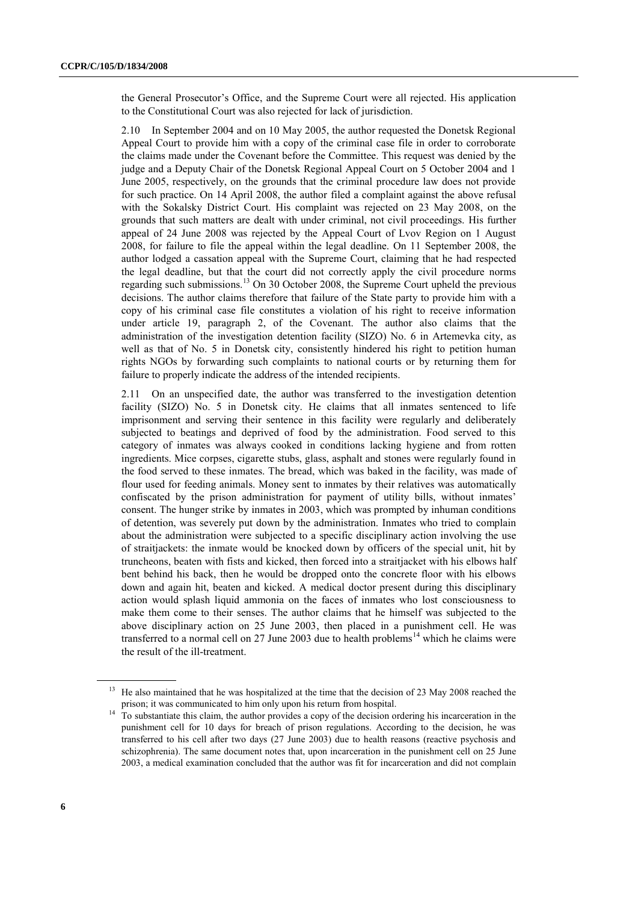the General Prosecutor's Office, and the Supreme Court were all rejected. His application to the Constitutional Court was also rejected for lack of jurisdiction.

2.10 In September 2004 and on 10 May 2005, the author requested the Donetsk Regional Appeal Court to provide him with a copy of the criminal case file in order to corroborate the claims made under the Covenant before the Committee. This request was denied by the judge and a Deputy Chair of the Donetsk Regional Appeal Court on 5 October 2004 and 1 June 2005, respectively, on the grounds that the criminal procedure law does not provide for such practice. On 14 April 2008, the author filed a complaint against the above refusal with the Sokalsky District Court. His complaint was rejected on 23 May 2008, on the grounds that such matters are dealt with under criminal, not civil proceedings. His further appeal of 24 June 2008 was rejected by the Appeal Court of Lvov Region on 1 August 2008, for failure to file the appeal within the legal deadline. On 11 September 2008, the author lodged a cassation appeal with the Supreme Court, claiming that he had respected the legal deadline, but that the court did not correctly apply the civil procedure norms regarding such submissions.<sup>13</sup> On 30 October 2008, the Supreme Court upheld the previous decisions. The author claims therefore that failure of the State party to provide him with a copy of his criminal case file constitutes a violation of his right to receive information under article 19, paragraph 2, of the Covenant. The author also claims that the administration of the investigation detention facility (SIZO) No. 6 in Artemevka city, as well as that of No. 5 in Donetsk city, consistently hindered his right to petition human rights NGOs by forwarding such complaints to national courts or by returning them for failure to properly indicate the address of the intended recipients.

2.11 On an unspecified date, the author was transferred to the investigation detention facility (SIZO) No. 5 in Donetsk city. He claims that all inmates sentenced to life imprisonment and serving their sentence in this facility were regularly and deliberately subjected to beatings and deprived of food by the administration. Food served to this category of inmates was always cooked in conditions lacking hygiene and from rotten ingredients. Mice corpses, cigarette stubs, glass, asphalt and stones were regularly found in the food served to these inmates. The bread, which was baked in the facility, was made of flour used for feeding animals. Money sent to inmates by their relatives was automatically confiscated by the prison administration for payment of utility bills, without inmates' consent. The hunger strike by inmates in 2003, which was prompted by inhuman conditions of detention, was severely put down by the administration. Inmates who tried to complain about the administration were subjected to a specific disciplinary action involving the use of straitjackets: the inmate would be knocked down by officers of the special unit, hit by truncheons, beaten with fists and kicked, then forced into a straitjacket with his elbows half bent behind his back, then he would be dropped onto the concrete floor with his elbows down and again hit, beaten and kicked. A medical doctor present during this disciplinary action would splash liquid ammonia on the faces of inmates who lost consciousness to make them come to their senses. The author claims that he himself was subjected to the above disciplinary action on 25 June 2003, then placed in a punishment cell. He was transferred to a normal cell on 27 June 2003 due to health problems<sup>14</sup> which he claims were the result of the ill-treatment.

<sup>&</sup>lt;sup>13</sup> He also maintained that he was hospitalized at the time that the decision of 23 May 2008 reached the prison; it was communicated to him only upon his return from hospital.

<sup>&</sup>lt;sup>14</sup> To substantiate this claim, the author provides a copy of the decision ordering his incarceration in the punishment cell for 10 days for breach of prison regulations. According to the decision, he was transferred to his cell after two days (27 June 2003) due to health reasons (reactive psychosis and schizophrenia). The same document notes that, upon incarceration in the punishment cell on 25 June 2003, a medical examination concluded that the author was fit for incarceration and did not complain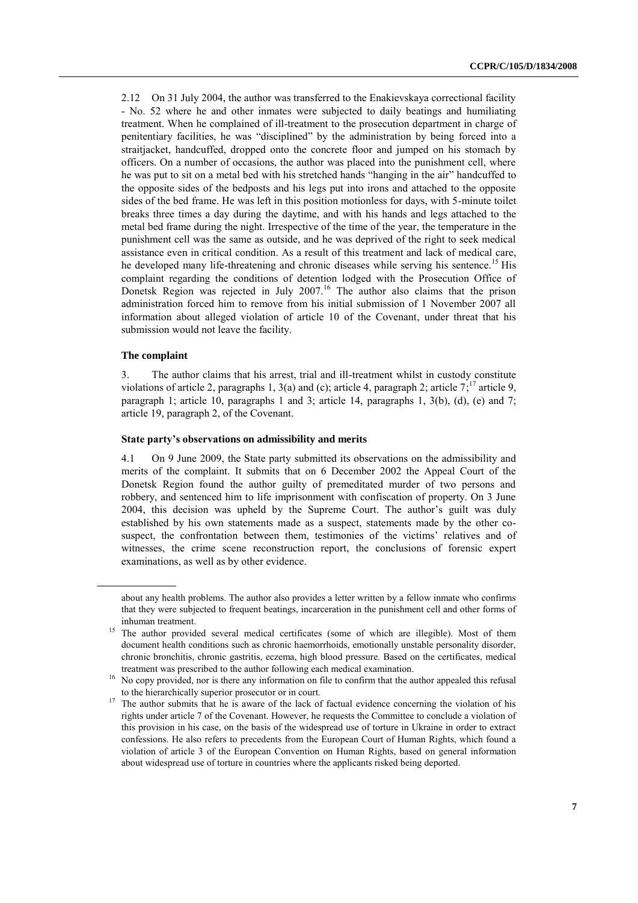2.12 On 31 July 2004, the author was transferred to the Enakievskaya correctional facility - No. 52 where he and other inmates were subjected to daily beatings and humiliating treatment. When he complained of ill-treatment to the prosecution department in charge of penitentiary facilities, he was "disciplined" by the administration by being forced into a straitjacket, handcuffed, dropped onto the concrete floor and jumped on his stomach by officers. On a number of occasions, the author was placed into the punishment cell, where he was put to sit on a metal bed with his stretched hands "hanging in the air" handcuffed to the opposite sides of the bedposts and his legs put into irons and attached to the opposite sides of the bed frame. He was left in this position motionless for days, with 5-minute toilet breaks three times a day during the daytime, and with his hands and legs attached to the metal bed frame during the night. Irrespective of the time of the year, the temperature in the punishment cell was the same as outside, and he was deprived of the right to seek medical assistance even in critical condition. As a result of this treatment and lack of medical care, he developed many life-threatening and chronic diseases while serving his sentence.<sup>15</sup> His complaint regarding the conditions of detention lodged with the Prosecution Office of Donetsk Region was rejected in July 2007.<sup>16</sup> The author also claims that the prison administration forced him to remove from his initial submission of 1 November 2007 all information about alleged violation of article 10 of the Covenant, under threat that his submission would not leave the facility.

### **The complaint**

3. The author claims that his arrest, trial and ill-treatment whilst in custody constitute violations of article 2, paragraphs 1, 3(a) and (c); article 4, paragraph 2; article  $7$ ;<sup>17</sup> article 9, paragraph 1; article 10, paragraphs 1 and 3; article 14, paragraphs 1, 3(b), (d), (e) and 7; article 19, paragraph 2, of the Covenant.

#### **State party's observations on admissibility and merits**

4.1 On 9 June 2009, the State party submitted its observations on the admissibility and merits of the complaint. It submits that on 6 December 2002 the Appeal Court of the Donetsk Region found the author guilty of premeditated murder of two persons and robbery, and sentenced him to life imprisonment with confiscation of property. On 3 June 2004, this decision was upheld by the Supreme Court. The author's guilt was duly established by his own statements made as a suspect, statements made by the other cosuspect, the confrontation between them, testimonies of the victims' relatives and of witnesses, the crime scene reconstruction report, the conclusions of forensic expert examinations, as well as by other evidence.

about any health problems. The author also provides a letter written by a fellow inmate who confirms that they were subjected to frequent beatings, incarceration in the punishment cell and other forms of inhuman treatment.

<sup>&</sup>lt;sup>15</sup> The author provided several medical certificates (some of which are illegible). Most of them document health conditions such as chronic haemorrhoids, emotionally unstable personality disorder, chronic bronchitis, chronic gastritis, eczema, high blood pressure. Based on the certificates, medical treatment was prescribed to the author following each medical examination.

<sup>&</sup>lt;sup>16</sup> No copy provided, nor is there any information on file to confirm that the author appealed this refusal to the hierarchically superior prosecutor or in court.

<sup>&</sup>lt;sup>17</sup> The author submits that he is aware of the lack of factual evidence concerning the violation of his rights under article 7 of the Covenant. However, he requests the Committee to conclude a violation of this provision in his case, on the basis of the widespread use of torture in Ukraine in order to extract confessions. He also refers to precedents from the European Court of Human Rights, which found a violation of article 3 of the European Convention on Human Rights, based on general information about widespread use of torture in countries where the applicants risked being deported.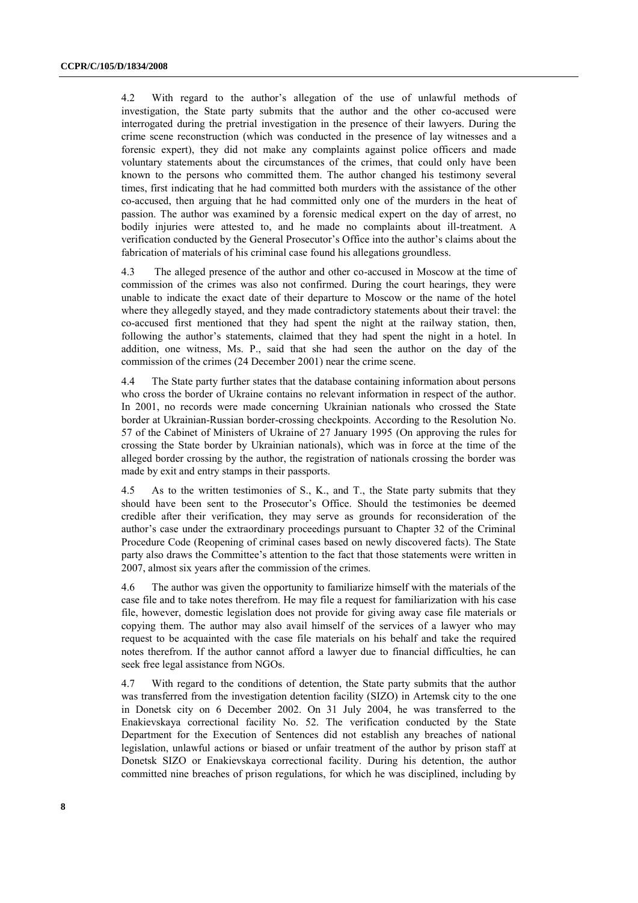4.2 With regard to the author's allegation of the use of unlawful methods of investigation, the State party submits that the author and the other co-accused were interrogated during the pretrial investigation in the presence of their lawyers. During the crime scene reconstruction (which was conducted in the presence of lay witnesses and a forensic expert), they did not make any complaints against police officers and made voluntary statements about the circumstances of the crimes, that could only have been known to the persons who committed them. The author changed his testimony several times, first indicating that he had committed both murders with the assistance of the other co-accused, then arguing that he had committed only one of the murders in the heat of passion. The author was examined by a forensic medical expert on the day of arrest, no bodily injuries were attested to, and he made no complaints about ill-treatment. A verification conducted by the General Prosecutor's Office into the author's claims about the fabrication of materials of his criminal case found his allegations groundless.

4.3 The alleged presence of the author and other co-accused in Moscow at the time of commission of the crimes was also not confirmed. During the court hearings, they were unable to indicate the exact date of their departure to Moscow or the name of the hotel where they allegedly stayed, and they made contradictory statements about their travel: the co-accused first mentioned that they had spent the night at the railway station, then, following the author's statements, claimed that they had spent the night in a hotel. In addition, one witness, Ms. P., said that she had seen the author on the day of the commission of the crimes (24 December 2001) near the crime scene.

4.4 The State party further states that the database containing information about persons who cross the border of Ukraine contains no relevant information in respect of the author. In 2001, no records were made concerning Ukrainian nationals who crossed the State border at Ukrainian-Russian border-crossing checkpoints. According to the Resolution No. 57 of the Cabinet of Ministers of Ukraine of 27 January 1995 (On approving the rules for crossing the State border by Ukrainian nationals), which was in force at the time of the alleged border crossing by the author, the registration of nationals crossing the border was made by exit and entry stamps in their passports.

4.5 As to the written testimonies of S., K., and T., the State party submits that they should have been sent to the Prosecutor's Office. Should the testimonies be deemed credible after their verification, they may serve as grounds for reconsideration of the author's case under the extraordinary proceedings pursuant to Chapter 32 of the Criminal Procedure Code (Reopening of criminal cases based on newly discovered facts). The State party also draws the Committee's attention to the fact that those statements were written in 2007, almost six years after the commission of the crimes.

4.6 The author was given the opportunity to familiarize himself with the materials of the case file and to take notes therefrom. He may file a request for familiarization with his case file, however, domestic legislation does not provide for giving away case file materials or copying them. The author may also avail himself of the services of a lawyer who may request to be acquainted with the case file materials on his behalf and take the required notes therefrom. If the author cannot afford a lawyer due to financial difficulties, he can seek free legal assistance from NGOs.

4.7 With regard to the conditions of detention, the State party submits that the author was transferred from the investigation detention facility (SIZO) in Artemsk city to the one in Donetsk city on 6 December 2002. On 31 July 2004, he was transferred to the Enakievskaya correctional facility No. 52. The verification conducted by the State Department for the Execution of Sentences did not establish any breaches of national legislation, unlawful actions or biased or unfair treatment of the author by prison staff at Donetsk SIZO or Enakievskaya correctional facility. During his detention, the author committed nine breaches of prison regulations, for which he was disciplined, including by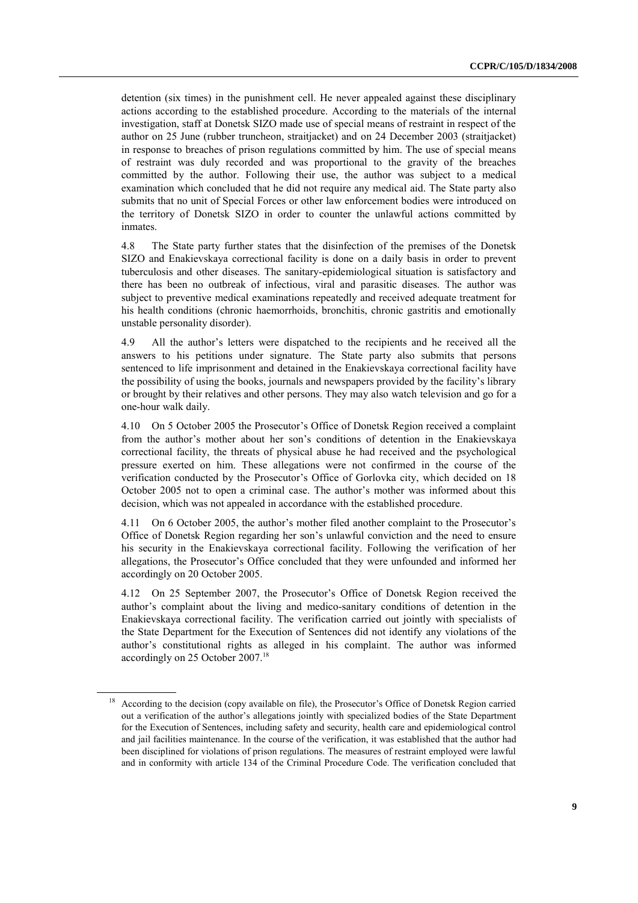detention (six times) in the punishment cell. He never appealed against these disciplinary actions according to the established procedure. According to the materials of the internal investigation, staff at Donetsk SIZO made use of special means of restraint in respect of the author on 25 June (rubber truncheon, straitjacket) and on 24 December 2003 (straitjacket) in response to breaches of prison regulations committed by him. The use of special means of restraint was duly recorded and was proportional to the gravity of the breaches committed by the author. Following their use, the author was subject to a medical examination which concluded that he did not require any medical aid. The State party also submits that no unit of Special Forces or other law enforcement bodies were introduced on the territory of Donetsk SIZO in order to counter the unlawful actions committed by inmates.

4.8 The State party further states that the disinfection of the premises of the Donetsk SIZO and Enakievskaya correctional facility is done on a daily basis in order to prevent tuberculosis and other diseases. The sanitary-epidemiological situation is satisfactory and there has been no outbreak of infectious, viral and parasitic diseases. The author was subject to preventive medical examinations repeatedly and received adequate treatment for his health conditions (chronic haemorrhoids, bronchitis, chronic gastritis and emotionally unstable personality disorder).

4.9 All the author's letters were dispatched to the recipients and he received all the answers to his petitions under signature. The State party also submits that persons sentenced to life imprisonment and detained in the Enakievskaya correctional facility have the possibility of using the books, journals and newspapers provided by the facility's library or brought by their relatives and other persons. They may also watch television and go for a one-hour walk daily.

4.10 On 5 October 2005 the Prosecutor's Office of Donetsk Region received a complaint from the author's mother about her son's conditions of detention in the Enakievskaya correctional facility, the threats of physical abuse he had received and the psychological pressure exerted on him. These allegations were not confirmed in the course of the verification conducted by the Prosecutor's Office of Gorlovka city, which decided on 18 October 2005 not to open a criminal case. The author's mother was informed about this decision, which was not appealed in accordance with the established procedure.

4.11 On 6 October 2005, the author's mother filed another complaint to the Prosecutor's Office of Donetsk Region regarding her son's unlawful conviction and the need to ensure his security in the Enakievskaya correctional facility. Following the verification of her allegations, the Prosecutor's Office concluded that they were unfounded and informed her accordingly on 20 October 2005.

4.12 On 25 September 2007, the Prosecutor's Office of Donetsk Region received the author's complaint about the living and medico-sanitary conditions of detention in the Enakievskaya correctional facility. The verification carried out jointly with specialists of the State Department for the Execution of Sentences did not identify any violations of the author's constitutional rights as alleged in his complaint. The author was informed accordingly on 25 October 2007.<sup>18</sup>

<sup>18</sup> According to the decision (copy available on file), the Prosecutor's Office of Donetsk Region carried out a verification of the author's allegations jointly with specialized bodies of the State Department for the Execution of Sentences, including safety and security, health care and epidemiological control and jail facilities maintenance. In the course of the verification, it was established that the author had been disciplined for violations of prison regulations. The measures of restraint employed were lawful and in conformity with article 134 of the Criminal Procedure Code. The verification concluded that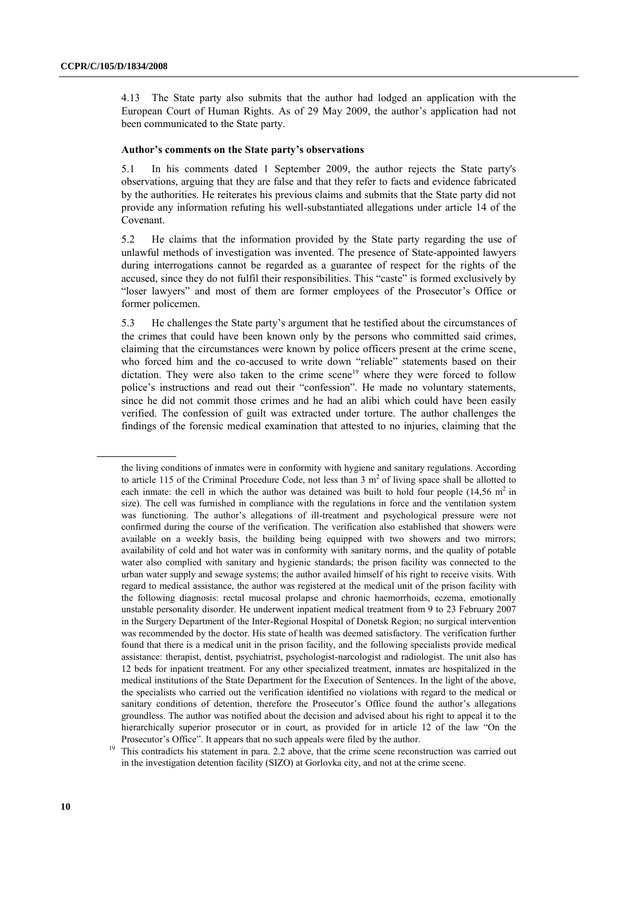4.13 The State party also submits that the author had lodged an application with the European Court of Human Rights. As of 29 May 2009, the author's application had not been communicated to the State party.

### **Author's comments on the State party's observations**

5.1 In his comments dated 1 September 2009, the author rejects the State party's observations, arguing that they are false and that they refer to facts and evidence fabricated by the authorities. He reiterates his previous claims and submits that the State party did not provide any information refuting his well-substantiated allegations under article 14 of the Covenant.

5.2 He claims that the information provided by the State party regarding the use of unlawful methods of investigation was invented. The presence of State-appointed lawyers during interrogations cannot be regarded as a guarantee of respect for the rights of the accused, since they do not fulfil their responsibilities. This "caste" is formed exclusively by "loser lawyers" and most of them are former employees of the Prosecutor's Office or former policemen.

5.3 He challenges the State party's argument that he testified about the circumstances of the crimes that could have been known only by the persons who committed said crimes, claiming that the circumstances were known by police officers present at the crime scene, who forced him and the co-accused to write down "reliable" statements based on their dictation. They were also taken to the crime scene<sup>19</sup> where they were forced to follow police's instructions and read out their "confession". He made no voluntary statements, since he did not commit those crimes and he had an alibi which could have been easily verified. The confession of guilt was extracted under torture. The author challenges the findings of the forensic medical examination that attested to no injuries, claiming that the

the living conditions of inmates were in conformity with hygiene and sanitary regulations. According to article 115 of the Criminal Procedure Code, not less than 3 m<sup>2</sup> of living space shall be allotted to each inmate: the cell in which the author was detained was built to hold four people  $(14.56 \text{ m}^2 \text{ in}$ size). The cell was furnished in compliance with the regulations in force and the ventilation system was functioning. The author's allegations of ill-treatment and psychological pressure were not confirmed during the course of the verification. The verification also established that showers were available on a weekly basis, the building being equipped with two showers and two mirrors; availability of cold and hot water was in conformity with sanitary norms, and the quality of potable water also complied with sanitary and hygienic standards; the prison facility was connected to the urban water supply and sewage systems; the author availed himself of his right to receive visits. With regard to medical assistance, the author was registered at the medical unit of the prison facility with the following diagnosis: rectal mucosal prolapse and chronic haemorrhoids, eczema, emotionally unstable personality disorder. He underwent inpatient medical treatment from 9 to 23 February 2007 in the Surgery Department of the Inter-Regional Hospital of Donetsk Region; no surgical intervention was recommended by the doctor. His state of health was deemed satisfactory. The verification further found that there is a medical unit in the prison facility, and the following specialists provide medical assistance: therapist, dentist, psychiatrist, psychologist-narcologist and radiologist. The unit also has 12 beds for inpatient treatment. For any other specialized treatment, inmates are hospitalized in the medical institutions of the State Department for the Execution of Sentences. In the light of the above, the specialists who carried out the verification identified no violations with regard to the medical or sanitary conditions of detention, therefore the Prosecutor's Office found the author's allegations groundless. The author was notified about the decision and advised about his right to appeal it to the hierarchically superior prosecutor or in court, as provided for in article 12 of the law "On the Prosecutor's Office". It appears that no such appeals were filed by the author.

<sup>&</sup>lt;sup>19</sup> This contradicts his statement in para. 2.2 above, that the crime scene reconstruction was carried out in the investigation detention facility (SIZO) at Gorlovka city, and not at the crime scene.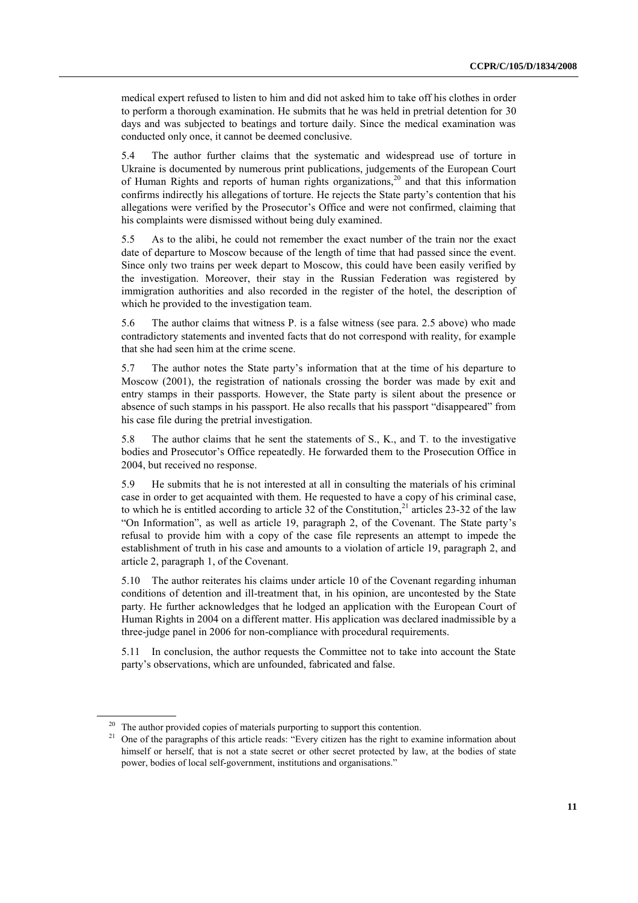medical expert refused to listen to him and did not asked him to take off his clothes in order to perform a thorough examination. He submits that he was held in pretrial detention for 30 days and was subjected to beatings and torture daily. Since the medical examination was conducted only once, it cannot be deemed conclusive.

5.4 The author further claims that the systematic and widespread use of torture in Ukraine is documented by numerous print publications, judgements of the European Court of Human Rights and reports of human rights organizations,<sup>20</sup> and that this information confirms indirectly his allegations of torture. He rejects the State party's contention that his allegations were verified by the Prosecutor's Office and were not confirmed, claiming that his complaints were dismissed without being duly examined.

5.5 As to the alibi, he could not remember the exact number of the train nor the exact date of departure to Moscow because of the length of time that had passed since the event. Since only two trains per week depart to Moscow, this could have been easily verified by the investigation. Moreover, their stay in the Russian Federation was registered by immigration authorities and also recorded in the register of the hotel, the description of which he provided to the investigation team.

5.6 The author claims that witness P. is a false witness (see para. 2.5 above) who made contradictory statements and invented facts that do not correspond with reality, for example that she had seen him at the crime scene.

5.7 The author notes the State party's information that at the time of his departure to Moscow (2001), the registration of nationals crossing the border was made by exit and entry stamps in their passports. However, the State party is silent about the presence or absence of such stamps in his passport. He also recalls that his passport "disappeared" from his case file during the pretrial investigation.

5.8 The author claims that he sent the statements of S., K., and T. to the investigative bodies and Prosecutor's Office repeatedly. He forwarded them to the Prosecution Office in 2004, but received no response.

5.9 He submits that he is not interested at all in consulting the materials of his criminal case in order to get acquainted with them. He requested to have a copy of his criminal case, to which he is entitled according to article 32 of the Constitution,<sup>21</sup> articles 23-32 of the law "On Information", as well as article 19, paragraph 2, of the Covenant. The State party's refusal to provide him with a copy of the case file represents an attempt to impede the establishment of truth in his case and amounts to a violation of article 19, paragraph 2, and article 2, paragraph 1, of the Covenant.

5.10 The author reiterates his claims under article 10 of the Covenant regarding inhuman conditions of detention and ill-treatment that, in his opinion, are uncontested by the State party. He further acknowledges that he lodged an application with the European Court of Human Rights in 2004 on a different matter. His application was declared inadmissible by a three-judge panel in 2006 for non-compliance with procedural requirements.

5.11 In conclusion, the author requests the Committee not to take into account the State party's observations, which are unfounded, fabricated and false.

<sup>&</sup>lt;sup>20</sup> The author provided copies of materials purporting to support this contention.

<sup>&</sup>lt;sup>21</sup> One of the paragraphs of this article reads: "Every citizen has the right to examine information about himself or herself, that is not a state secret or other secret protected by law, at the bodies of state power, bodies of local self-government, institutions and organisations."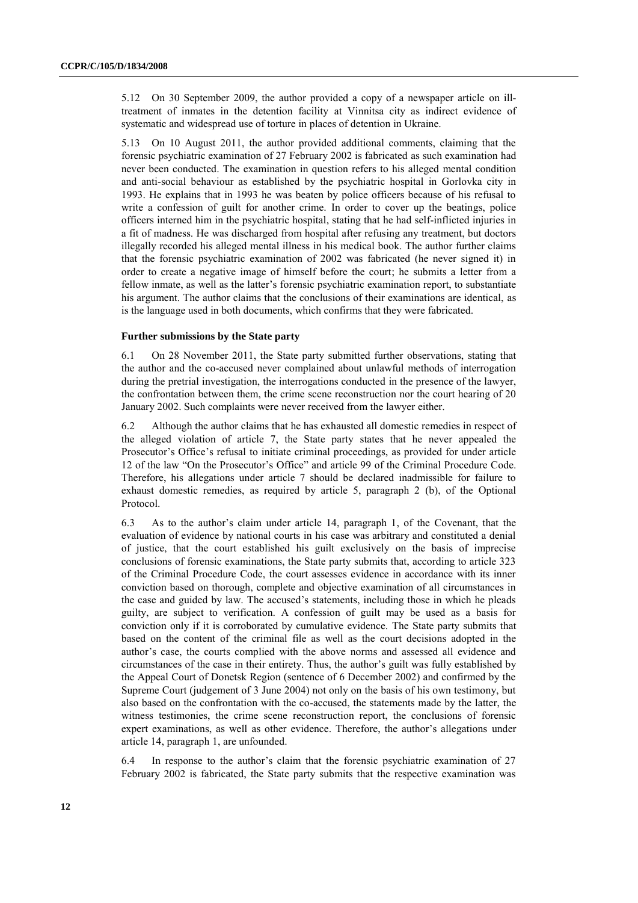5.12 On 30 September 2009, the author provided a copy of a newspaper article on illtreatment of inmates in the detention facility at Vinnitsa city as indirect evidence of systematic and widespread use of torture in places of detention in Ukraine.

5.13 On 10 August 2011, the author provided additional comments, claiming that the forensic psychiatric examination of 27 February 2002 is fabricated as such examination had never been conducted. The examination in question refers to his alleged mental condition and anti-social behaviour as established by the psychiatric hospital in Gorlovka city in 1993. He explains that in 1993 he was beaten by police officers because of his refusal to write a confession of guilt for another crime. In order to cover up the beatings, police officers interned him in the psychiatric hospital, stating that he had self-inflicted injuries in a fit of madness. He was discharged from hospital after refusing any treatment, but doctors illegally recorded his alleged mental illness in his medical book. The author further claims that the forensic psychiatric examination of 2002 was fabricated (he never signed it) in order to create a negative image of himself before the court; he submits a letter from a fellow inmate, as well as the latter's forensic psychiatric examination report, to substantiate his argument. The author claims that the conclusions of their examinations are identical, as is the language used in both documents, which confirms that they were fabricated.

### **Further submissions by the State party**

6.1 On 28 November 2011, the State party submitted further observations, stating that the author and the co-accused never complained about unlawful methods of interrogation during the pretrial investigation, the interrogations conducted in the presence of the lawyer, the confrontation between them, the crime scene reconstruction nor the court hearing of 20 January 2002. Such complaints were never received from the lawyer either.

6.2 Although the author claims that he has exhausted all domestic remedies in respect of the alleged violation of article 7, the State party states that he never appealed the Prosecutor's Office's refusal to initiate criminal proceedings, as provided for under article 12 of the law "On the Prosecutor's Office" and article 99 of the Criminal Procedure Code. Therefore, his allegations under article 7 should be declared inadmissible for failure to exhaust domestic remedies, as required by article 5, paragraph 2 (b), of the Optional Protocol.

6.3 As to the author's claim under article 14, paragraph 1, of the Covenant, that the evaluation of evidence by national courts in his case was arbitrary and constituted a denial of justice, that the court established his guilt exclusively on the basis of imprecise conclusions of forensic examinations, the State party submits that, according to article 323 of the Criminal Procedure Code, the court assesses evidence in accordance with its inner conviction based on thorough, complete and objective examination of all circumstances in the case and guided by law. The accused's statements, including those in which he pleads guilty, are subject to verification. A confession of guilt may be used as a basis for conviction only if it is corroborated by cumulative evidence. The State party submits that based on the content of the criminal file as well as the court decisions adopted in the author's case, the courts complied with the above norms and assessed all evidence and circumstances of the case in their entirety. Thus, the author's guilt was fully established by the Appeal Court of Donetsk Region (sentence of 6 December 2002) and confirmed by the Supreme Court (judgement of 3 June 2004) not only on the basis of his own testimony, but also based on the confrontation with the co-accused, the statements made by the latter, the witness testimonies, the crime scene reconstruction report, the conclusions of forensic expert examinations, as well as other evidence. Therefore, the author's allegations under article 14, paragraph 1, are unfounded.

6.4 In response to the author's claim that the forensic psychiatric examination of 27 February 2002 is fabricated, the State party submits that the respective examination was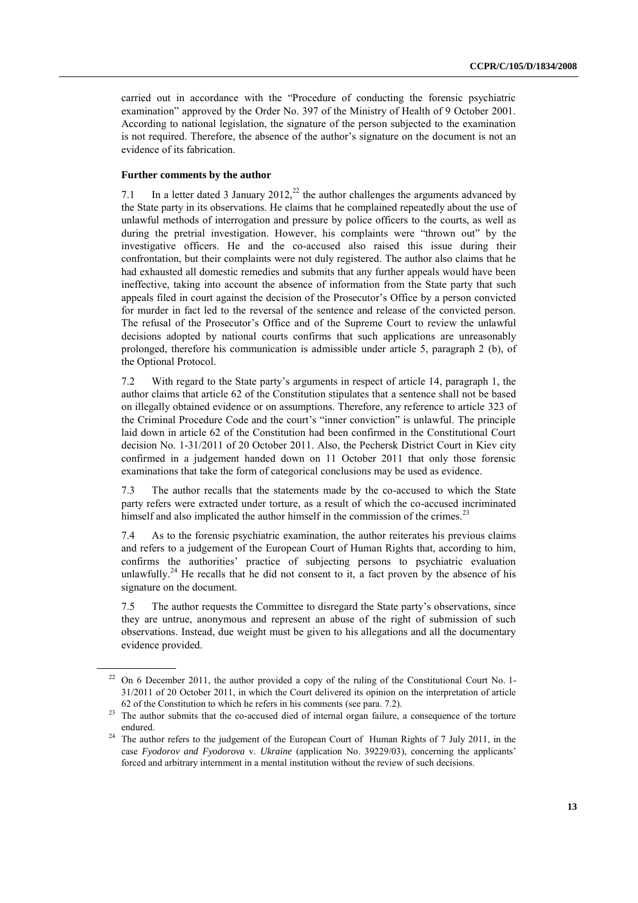carried out in accordance with the "Procedure of conducting the forensic psychiatric examination" approved by the Order No. 397 of the Ministry of Health of 9 October 2001. According to national legislation, the signature of the person subjected to the examination is not required. Therefore, the absence of the author's signature on the document is not an evidence of its fabrication.

## **Further comments by the author**

7.1 In a letter dated 3 January 2012,<sup>22</sup> the author challenges the arguments advanced by the State party in its observations. He claims that he complained repeatedly about the use of unlawful methods of interrogation and pressure by police officers to the courts, as well as during the pretrial investigation. However, his complaints were "thrown out" by the investigative officers. He and the co-accused also raised this issue during their confrontation, but their complaints were not duly registered. The author also claims that he had exhausted all domestic remedies and submits that any further appeals would have been ineffective, taking into account the absence of information from the State party that such appeals filed in court against the decision of the Prosecutor's Office by a person convicted for murder in fact led to the reversal of the sentence and release of the convicted person. The refusal of the Prosecutor's Office and of the Supreme Court to review the unlawful decisions adopted by national courts confirms that such applications are unreasonably prolonged, therefore his communication is admissible under article 5, paragraph 2 (b), of the Optional Protocol.

7.2 With regard to the State party's arguments in respect of article 14, paragraph 1, the author claims that article 62 of the Constitution stipulates that a sentence shall not be based on illegally obtained evidence or on assumptions. Therefore, any reference to article 323 of the Criminal Procedure Code and the court's "inner conviction" is unlawful. The principle laid down in article 62 of the Constitution had been confirmed in the Constitutional Court decision No. 1-31/2011 of 20 October 2011. Also, the Pechersk District Court in Kiev city confirmed in a judgement handed down on 11 October 2011 that only those forensic examinations that take the form of categorical conclusions may be used as evidence.

7.3 The author recalls that the statements made by the co-accused to which the State party refers were extracted under torture, as a result of which the co-accused incriminated himself and also implicated the author himself in the commission of the crimes.<sup>23</sup>

7.4 As to the forensic psychiatric examination, the author reiterates his previous claims and refers to a judgement of the European Court of Human Rights that, according to him, confirms the authorities' practice of subjecting persons to psychiatric evaluation unlawfully.<sup>24</sup> He recalls that he did not consent to it, a fact proven by the absence of his signature on the document.

7.5 The author requests the Committee to disregard the State party's observations, since they are untrue, anonymous and represent an abuse of the right of submission of such observations. Instead, due weight must be given to his allegations and all the documentary evidence provided.

<sup>&</sup>lt;sup>22</sup> On 6 December 2011, the author provided a copy of the ruling of the Constitutional Court No. 1-31/2011 of 20 October 2011, in which the Court delivered its opinion on the interpretation of article 62 of the Constitution to which he refers in his comments (see para. 7.2).

<sup>&</sup>lt;sup>23</sup> The author submits that the co-accused died of internal organ failure, a consequence of the torture endured.

<sup>&</sup>lt;sup>24</sup> The author refers to the judgement of the European Court of Human Rights of 7 July 2011, in the case *Fyodorov and Fyodorova* v. *Ukraine* (application No. 39229/03), concerning the applicants' forced and arbitrary internment in a mental institution without the review of such decisions.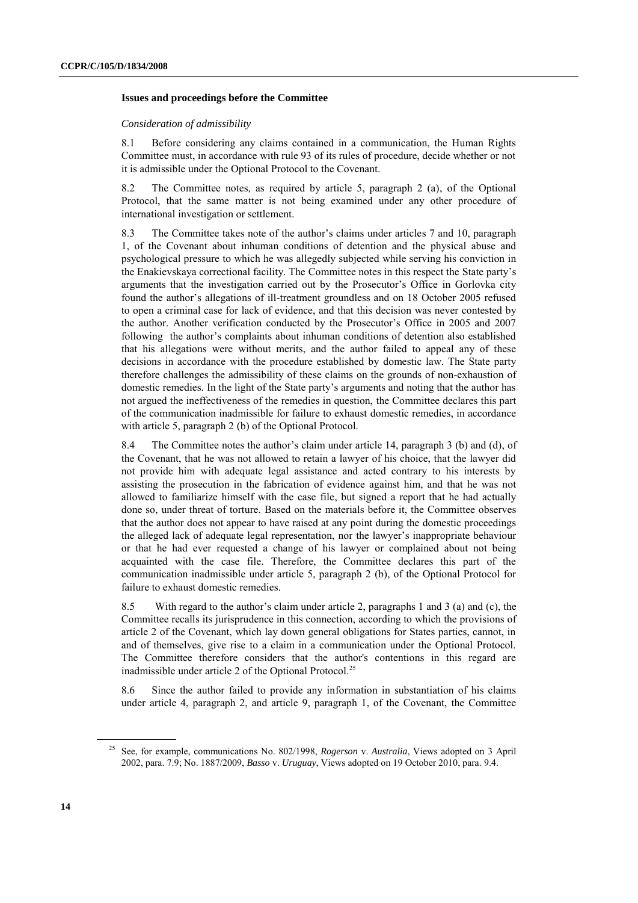### **Issues and proceedings before the Committee**

#### *Consideration of admissibility*

8.1 Before considering any claims contained in a communication, the Human Rights Committee must, in accordance with rule 93 of its rules of procedure, decide whether or not it is admissible under the Optional Protocol to the Covenant.

8.2 The Committee notes, as required by article 5, paragraph 2 (a), of the Optional Protocol, that the same matter is not being examined under any other procedure of international investigation or settlement.

8.3 The Committee takes note of the author's claims under articles 7 and 10, paragraph 1, of the Covenant about inhuman conditions of detention and the physical abuse and psychological pressure to which he was allegedly subjected while serving his conviction in the Enakievskaya correctional facility. The Committee notes in this respect the State party's arguments that the investigation carried out by the Prosecutor's Office in Gorlovka city found the author's allegations of ill-treatment groundless and on 18 October 2005 refused to open a criminal case for lack of evidence, and that this decision was never contested by the author. Another verification conducted by the Prosecutor's Office in 2005 and 2007 following the author's complaints about inhuman conditions of detention also established that his allegations were without merits, and the author failed to appeal any of these decisions in accordance with the procedure established by domestic law. The State party therefore challenges the admissibility of these claims on the grounds of non-exhaustion of domestic remedies. In the light of the State party's arguments and noting that the author has not argued the ineffectiveness of the remedies in question, the Committee declares this part of the communication inadmissible for failure to exhaust domestic remedies, in accordance with article 5, paragraph 2 (b) of the Optional Protocol.

8.4 The Committee notes the author's claim under article 14, paragraph 3 (b) and (d), of the Covenant, that he was not allowed to retain a lawyer of his choice, that the lawyer did not provide him with adequate legal assistance and acted contrary to his interests by assisting the prosecution in the fabrication of evidence against him, and that he was not allowed to familiarize himself with the case file, but signed a report that he had actually done so, under threat of torture. Based on the materials before it, the Committee observes that the author does not appear to have raised at any point during the domestic proceedings the alleged lack of adequate legal representation, nor the lawyer's inappropriate behaviour or that he had ever requested a change of his lawyer or complained about not being acquainted with the case file. Therefore, the Committee declares this part of the communication inadmissible under article 5, paragraph 2 (b), of the Optional Protocol for failure to exhaust domestic remedies.

8.5 With regard to the author's claim under article 2, paragraphs 1 and 3 (a) and (c), the Committee recalls its jurisprudence in this connection, according to which the provisions of article 2 of the Covenant, which lay down general obligations for States parties, cannot, in and of themselves, give rise to a claim in a communication under the Optional Protocol. The Committee therefore considers that the author's contentions in this regard are inadmissible under article 2 of the Optional Protocol.<sup>25</sup>

8.6 Since the author failed to provide any information in substantiation of his claims under article 4, paragraph 2, and article 9, paragraph 1, of the Covenant, the Committee

<sup>25</sup> See, for example, communications No. 802/1998, *Rogerson* v. *Australia*, Views adopted on 3 April 2002, para. 7.9; No. 1887/2009, *Basso* v. *Uruguay*, Views adopted on 19 October 2010, para. 9.4.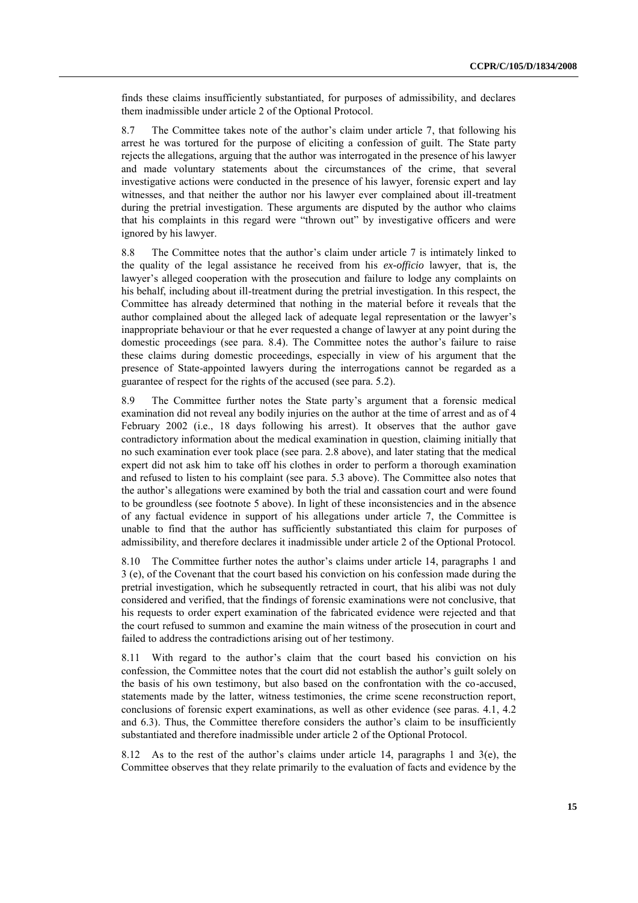finds these claims insufficiently substantiated, for purposes of admissibility, and declares them inadmissible under article 2 of the Optional Protocol.

8.7 The Committee takes note of the author's claim under article 7, that following his arrest he was tortured for the purpose of eliciting a confession of guilt. The State party rejects the allegations, arguing that the author was interrogated in the presence of his lawyer and made voluntary statements about the circumstances of the crime, that several investigative actions were conducted in the presence of his lawyer, forensic expert and lay witnesses, and that neither the author nor his lawyer ever complained about ill-treatment during the pretrial investigation. These arguments are disputed by the author who claims that his complaints in this regard were "thrown out" by investigative officers and were ignored by his lawyer.

8.8 The Committee notes that the author's claim under article 7 is intimately linked to the quality of the legal assistance he received from his *ex-officio* lawyer, that is, the lawyer's alleged cooperation with the prosecution and failure to lodge any complaints on his behalf, including about ill-treatment during the pretrial investigation. In this respect, the Committee has already determined that nothing in the material before it reveals that the author complained about the alleged lack of adequate legal representation or the lawyer's inappropriate behaviour or that he ever requested a change of lawyer at any point during the domestic proceedings (see para. 8.4). The Committee notes the author's failure to raise these claims during domestic proceedings, especially in view of his argument that the presence of State-appointed lawyers during the interrogations cannot be regarded as a guarantee of respect for the rights of the accused (see para. 5.2).

8.9 The Committee further notes the State party's argument that a forensic medical examination did not reveal any bodily injuries on the author at the time of arrest and as of 4 February 2002 (i.e., 18 days following his arrest). It observes that the author gave contradictory information about the medical examination in question, claiming initially that no such examination ever took place (see para. 2.8 above), and later stating that the medical expert did not ask him to take off his clothes in order to perform a thorough examination and refused to listen to his complaint (see para. 5.3 above). The Committee also notes that the author's allegations were examined by both the trial and cassation court and were found to be groundless (see footnote 5 above). In light of these inconsistencies and in the absence of any factual evidence in support of his allegations under article 7, the Committee is unable to find that the author has sufficiently substantiated this claim for purposes of admissibility, and therefore declares it inadmissible under article 2 of the Optional Protocol.

8.10 The Committee further notes the author's claims under article 14, paragraphs 1 and 3 (e), of the Covenant that the court based his conviction on his confession made during the pretrial investigation, which he subsequently retracted in court, that his alibi was not duly considered and verified, that the findings of forensic examinations were not conclusive, that his requests to order expert examination of the fabricated evidence were rejected and that the court refused to summon and examine the main witness of the prosecution in court and failed to address the contradictions arising out of her testimony.

8.11 With regard to the author's claim that the court based his conviction on his confession, the Committee notes that the court did not establish the author's guilt solely on the basis of his own testimony, but also based on the confrontation with the co-accused, statements made by the latter, witness testimonies, the crime scene reconstruction report, conclusions of forensic expert examinations, as well as other evidence (see paras. 4.1, 4.2 and 6.3). Thus, the Committee therefore considers the author's claim to be insufficiently substantiated and therefore inadmissible under article 2 of the Optional Protocol.

8.12 As to the rest of the author's claims under article 14, paragraphs 1 and 3(e), the Committee observes that they relate primarily to the evaluation of facts and evidence by the